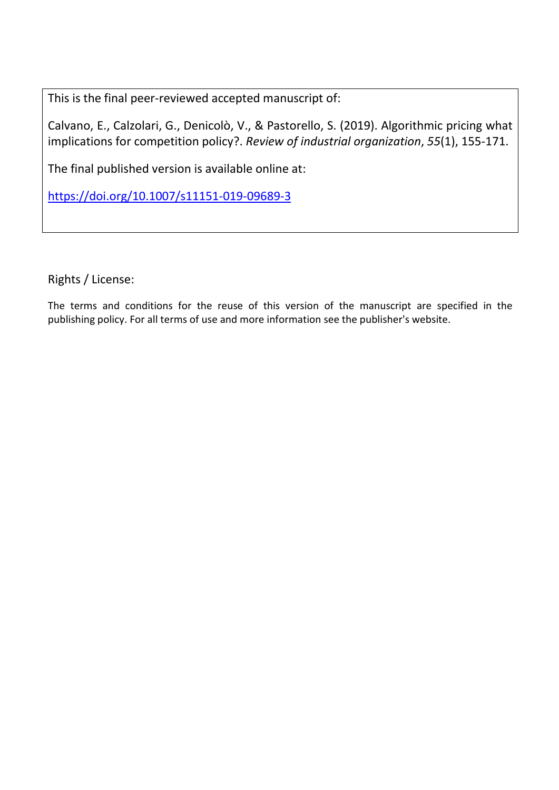This is the final peer-reviewed accepted manuscript of:

Calvano, E., Calzolari, G., Denicolò, V., & Pastorello, S. (2019). Algorithmic pricing what implications for competition policy?. *Review of industrial organization*, *55*(1), 155-171.

The final published version is available online at:

<https://doi.org/10.1007/s11151-019-09689-3>

Rights / License:

The terms and conditions for the reuse of this version of the manuscript are specified in the publishing policy. For all terms of use and more information see the publisher's website.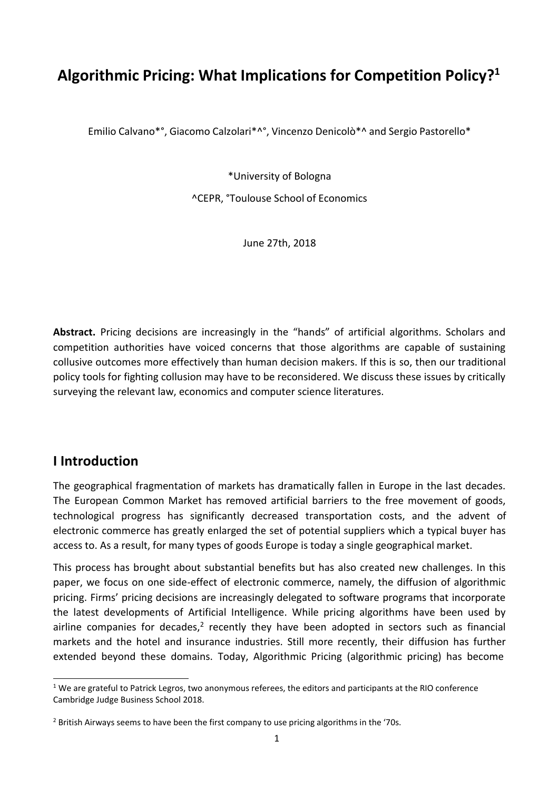# **Algorithmic Pricing: What Implications for Competition Policy?<sup>1</sup>**

Emilio Calvano\*°, Giacomo Calzolari\*^°, Vincenzo Denicolò\*^ and Sergio Pastorello\*

\*University of Bologna

^CEPR, °Toulouse School of Economics

June 27th, 2018

**Abstract.** Pricing decisions are increasingly in the "hands" of artificial algorithms. Scholars and competition authorities have voiced concerns that those algorithms are capable of sustaining collusive outcomes more effectively than human decision makers. If this is so, then our traditional policy tools for fighting collusion may have to be reconsidered. We discuss these issues by critically surveying the relevant law, economics and computer science literatures.

### **I Introduction**

The geographical fragmentation of markets has dramatically fallen in Europe in the last decades. The European Common Market has removed artificial barriers to the free movement of goods, technological progress has significantly decreased transportation costs, and the advent of electronic commerce has greatly enlarged the set of potential suppliers which a typical buyer has access to. As a result, for many types of goods Europe is today a single geographical market.

This process has brought about substantial benefits but has also created new challenges. In this paper, we focus on one side-effect of electronic commerce, namely, the diffusion of algorithmic pricing. Firms' pricing decisions are increasingly delegated to software programs that incorporate the latest developments of Artificial Intelligence. While pricing algorithms have been used by airline companies for decades,<sup>2</sup> recently they have been adopted in sectors such as financial markets and the hotel and insurance industries. Still more recently, their diffusion has further extended beyond these domains. Today, Algorithmic Pricing (algorithmic pricing) has become

 $1$  We are grateful to Patrick Legros, two anonymous referees, the editors and participants at the RIO conference Cambridge Judge Business School 2018.

<sup>&</sup>lt;sup>2</sup> British Airways seems to have been the first company to use pricing algorithms in the '70s.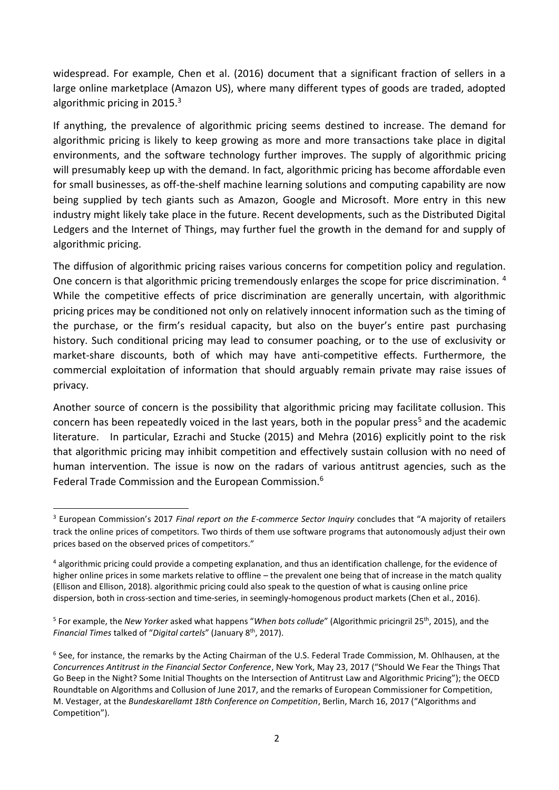widespread. For example, Chen et al. (2016) document that a significant fraction of sellers in a large online marketplace (Amazon US), where many different types of goods are traded, adopted algorithmic pricing in 2015.<sup>3</sup>

If anything, the prevalence of algorithmic pricing seems destined to increase. The demand for algorithmic pricing is likely to keep growing as more and more transactions take place in digital environments, and the software technology further improves. The supply of algorithmic pricing will presumably keep up with the demand. In fact, algorithmic pricing has become affordable even for small businesses, as off-the-shelf machine learning solutions and computing capability are now being supplied by tech giants such as Amazon, Google and Microsoft. More entry in this new industry might likely take place in the future. Recent developments, such as the Distributed Digital Ledgers and the Internet of Things, may further fuel the growth in the demand for and supply of algorithmic pricing.

The diffusion of algorithmic pricing raises various concerns for competition policy and regulation. One concern is that algorithmic pricing tremendously enlarges the scope for price discrimination.<sup>4</sup> While the competitive effects of price discrimination are generally uncertain, with algorithmic pricing prices may be conditioned not only on relatively innocent information such as the timing of the purchase, or the firm's residual capacity, but also on the buyer's entire past purchasing history. Such conditional pricing may lead to consumer poaching, or to the use of exclusivity or market-share discounts, both of which may have anti-competitive effects. Furthermore, the commercial exploitation of information that should arguably remain private may raise issues of privacy.

Another source of concern is the possibility that algorithmic pricing may facilitate collusion. This concern has been repeatedly voiced in the last years, both in the popular press<sup>5</sup> and the academic literature. In particular, Ezrachi and Stucke (2015) and Mehra (2016) explicitly point to the risk that algorithmic pricing may inhibit competition and effectively sustain collusion with no need of human intervention. The issue is now on the radars of various antitrust agencies, such as the Federal Trade Commission and the European Commission.<sup>6</sup>

<sup>3</sup> European Commission's 2017 *Final report on the E-commerce Sector Inquiry* concludes that "A majority of retailers track the online prices of competitors. Two thirds of them use software programs that autonomously adjust their own prices based on the observed prices of competitors."

<sup>4</sup> algorithmic pricing could provide a competing explanation, and thus an identification challenge, for the evidence of higher online prices in some markets relative to offline – the prevalent one being that of increase in the match quality (Ellison and Ellison, 2018). algorithmic pricing could also speak to the question of what is causing online price dispersion, both in cross-section and time-series, in seemingly-homogenous product markets (Chen et al., 2016).

<sup>5</sup> For example, the *New Yorker* asked what happens "*When bots collude*" (Algorithmic pricingril 25th , 2015), and the *Financial Times* talked of "*Digital cartels*" (January 8 th , 2017).

<sup>6</sup> See, for instance, the remarks by the Acting Chairman of the U.S. Federal Trade Commission, M. Ohlhausen, at the *Concurrences Antitrust in the Financial Sector Conference*, New York, May 23, 2017 ("Should We Fear the Things That Go Beep in the Night? Some Initial Thoughts on the Intersection of Antitrust Law and Algorithmic Pricing"); the OECD Roundtable on Algorithms and Collusion of June 2017, and the remarks of European Commissioner for Competition, M. Vestager, at the *Bundeskarellamt 18th Conference on Competition*, Berlin, March 16, 2017 ("Algorithms and Competition").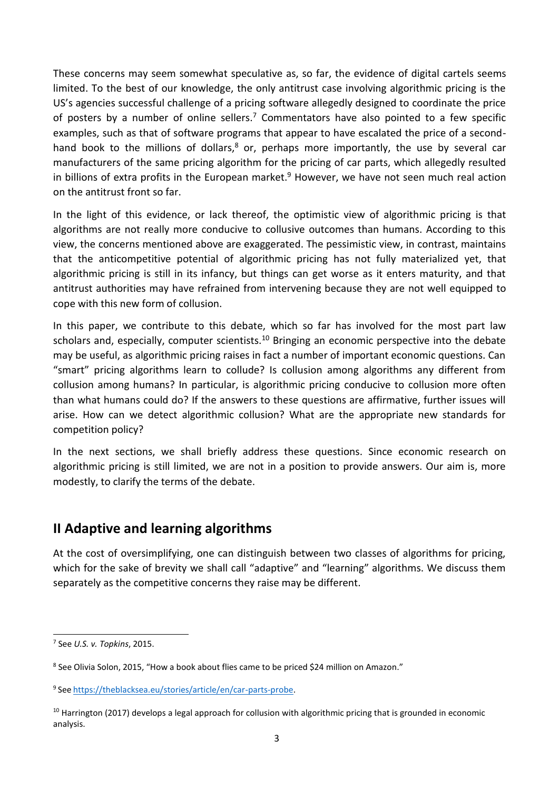These concerns may seem somewhat speculative as, so far, the evidence of digital cartels seems limited. To the best of our knowledge, the only antitrust case involving algorithmic pricing is the US's agencies successful challenge of a pricing software allegedly designed to coordinate the price of posters by a number of online sellers.<sup>7</sup> Commentators have also pointed to a few specific examples, such as that of software programs that appear to have escalated the price of a secondhand book to the millions of dollars, $8$  or, perhaps more importantly, the use by several car manufacturers of the same pricing algorithm for the pricing of car parts, which allegedly resulted in billions of extra profits in the European market.<sup>9</sup> However, we have not seen much real action on the antitrust front so far.

In the light of this evidence, or lack thereof, the optimistic view of algorithmic pricing is that algorithms are not really more conducive to collusive outcomes than humans. According to this view, the concerns mentioned above are exaggerated. The pessimistic view, in contrast, maintains that the anticompetitive potential of algorithmic pricing has not fully materialized yet, that algorithmic pricing is still in its infancy, but things can get worse as it enters maturity, and that antitrust authorities may have refrained from intervening because they are not well equipped to cope with this new form of collusion.

In this paper, we contribute to this debate, which so far has involved for the most part law scholars and, especially, computer scientists.<sup>10</sup> Bringing an economic perspective into the debate may be useful, as algorithmic pricing raises in fact a number of important economic questions. Can "smart" pricing algorithms learn to collude? Is collusion among algorithms any different from collusion among humans? In particular, is algorithmic pricing conducive to collusion more often than what humans could do? If the answers to these questions are affirmative, further issues will arise. How can we detect algorithmic collusion? What are the appropriate new standards for competition policy?

In the next sections, we shall briefly address these questions. Since economic research on algorithmic pricing is still limited, we are not in a position to provide answers. Our aim is, more modestly, to clarify the terms of the debate.

### **II Adaptive and learning algorithms**

At the cost of oversimplifying, one can distinguish between two classes of algorithms for pricing, which for the sake of brevity we shall call "adaptive" and "learning" algorithms. We discuss them separately as the competitive concerns they raise may be different.

<sup>7</sup> See *U.S. v. Topkins*, 2015.

 $^8$  See Olivia Solon, 2015, "How a book about flies came to be priced \$24 million on Amazon."

<sup>&</sup>lt;sup>9</sup> See https://theblacksea.eu/stories/article/en/car-parts-probe.

<sup>&</sup>lt;sup>10</sup> Harrington (2017) develops a legal approach for collusion with algorithmic pricing that is grounded in economic analysis.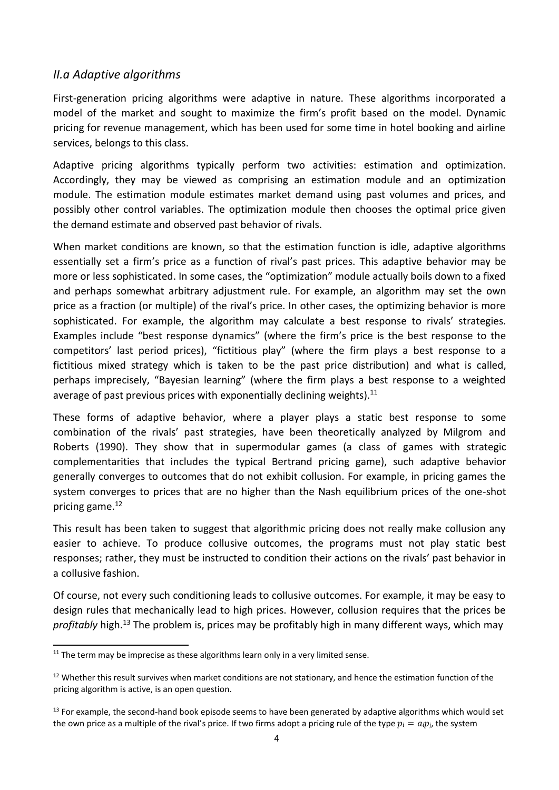#### *II.a Adaptive algorithms*

First-generation pricing algorithms were adaptive in nature. These algorithms incorporated a model of the market and sought to maximize the firm's profit based on the model. Dynamic pricing for revenue management, which has been used for some time in hotel booking and airline services, belongs to this class.

Adaptive pricing algorithms typically perform two activities: estimation and optimization. Accordingly, they may be viewed as comprising an estimation module and an optimization module. The estimation module estimates market demand using past volumes and prices, and possibly other control variables. The optimization module then chooses the optimal price given the demand estimate and observed past behavior of rivals.

When market conditions are known, so that the estimation function is idle, adaptive algorithms essentially set a firm's price as a function of rival's past prices. This adaptive behavior may be more or less sophisticated. In some cases, the "optimization" module actually boils down to a fixed and perhaps somewhat arbitrary adjustment rule. For example, an algorithm may set the own price as a fraction (or multiple) of the rival's price. In other cases, the optimizing behavior is more sophisticated. For example, the algorithm may calculate a best response to rivals' strategies. Examples include "best response dynamics" (where the firm's price is the best response to the competitors' last period prices), "fictitious play" (where the firm plays a best response to a fictitious mixed strategy which is taken to be the past price distribution) and what is called, perhaps imprecisely, "Bayesian learning" (where the firm plays a best response to a weighted average of past previous prices with exponentially declining weights). $^{11}$ 

These forms of adaptive behavior, where a player plays a static best response to some combination of the rivals' past strategies, have been theoretically analyzed by Milgrom and Roberts (1990). They show that in supermodular games (a class of games with strategic complementarities that includes the typical Bertrand pricing game), such adaptive behavior generally converges to outcomes that do not exhibit collusion. For example, in pricing games the system converges to prices that are no higher than the Nash equilibrium prices of the one-shot pricing game. $12$ 

This result has been taken to suggest that algorithmic pricing does not really make collusion any easier to achieve. To produce collusive outcomes, the programs must not play static best responses; rather, they must be instructed to condition their actions on the rivals' past behavior in a collusive fashion.

Of course, not every such conditioning leads to collusive outcomes. For example, it may be easy to design rules that mechanically lead to high prices. However, collusion requires that the prices be *profitably* high.<sup>13</sup> The problem is, prices may be profitably high in many different ways, which may

 $11$  The term may be imprecise as these algorithms learn only in a very limited sense.

<sup>&</sup>lt;sup>12</sup> Whether this result survives when market conditions are not stationary, and hence the estimation function of the pricing algorithm is active, is an open question.

 $13$  For example, the second-hand book episode seems to have been generated by adaptive algorithms which would set the own price as a multiple of the rival's price. If two firms adopt a pricing rule of the type  $p_i = a_i p_j$ , the system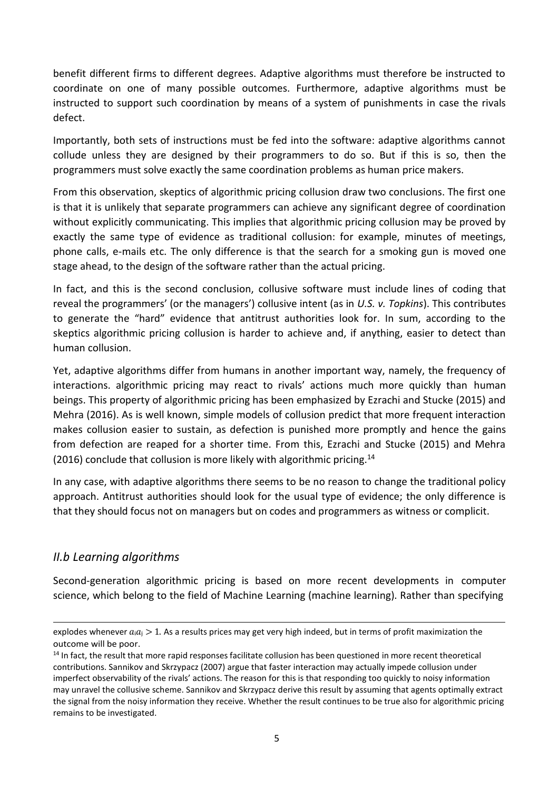benefit different firms to different degrees. Adaptive algorithms must therefore be instructed to coordinate on one of many possible outcomes. Furthermore, adaptive algorithms must be instructed to support such coordination by means of a system of punishments in case the rivals defect.

Importantly, both sets of instructions must be fed into the software: adaptive algorithms cannot collude unless they are designed by their programmers to do so. But if this is so, then the programmers must solve exactly the same coordination problems as human price makers.

From this observation, skeptics of algorithmic pricing collusion draw two conclusions. The first one is that it is unlikely that separate programmers can achieve any significant degree of coordination without explicitly communicating. This implies that algorithmic pricing collusion may be proved by exactly the same type of evidence as traditional collusion: for example, minutes of meetings, phone calls, e-mails etc. The only difference is that the search for a smoking gun is moved one stage ahead, to the design of the software rather than the actual pricing.

In fact, and this is the second conclusion, collusive software must include lines of coding that reveal the programmers' (or the managers') collusive intent (as in *U.S. v. Topkins*). This contributes to generate the "hard" evidence that antitrust authorities look for. In sum, according to the skeptics algorithmic pricing collusion is harder to achieve and, if anything, easier to detect than human collusion.

Yet, adaptive algorithms differ from humans in another important way, namely, the frequency of interactions. algorithmic pricing may react to rivals' actions much more quickly than human beings. This property of algorithmic pricing has been emphasized by Ezrachi and Stucke (2015) and Mehra (2016). As is well known, simple models of collusion predict that more frequent interaction makes collusion easier to sustain, as defection is punished more promptly and hence the gains from defection are reaped for a shorter time. From this, Ezrachi and Stucke (2015) and Mehra (2016) conclude that collusion is more likely with algorithmic pricing.<sup>14</sup>

In any case, with adaptive algorithms there seems to be no reason to change the traditional policy approach. Antitrust authorities should look for the usual type of evidence; the only difference is that they should focus not on managers but on codes and programmers as witness or complicit.

#### *II.b Learning algorithms*

Second-generation algorithmic pricing is based on more recent developments in computer science, which belong to the field of Machine Learning (machine learning). Rather than specifying

explodes whenever  $a_i a_j > 1$ . As a results prices may get very high indeed, but in terms of profit maximization the outcome will be poor.

 $14$  In fact, the result that more rapid responses facilitate collusion has been questioned in more recent theoretical contributions. Sannikov and Skrzypacz (2007) argue that faster interaction may actually impede collusion under imperfect observability of the rivals' actions. The reason for this is that responding too quickly to noisy information may unravel the collusive scheme. Sannikov and Skrzypacz derive this result by assuming that agents optimally extract the signal from the noisy information they receive. Whether the result continues to be true also for algorithmic pricing remains to be investigated.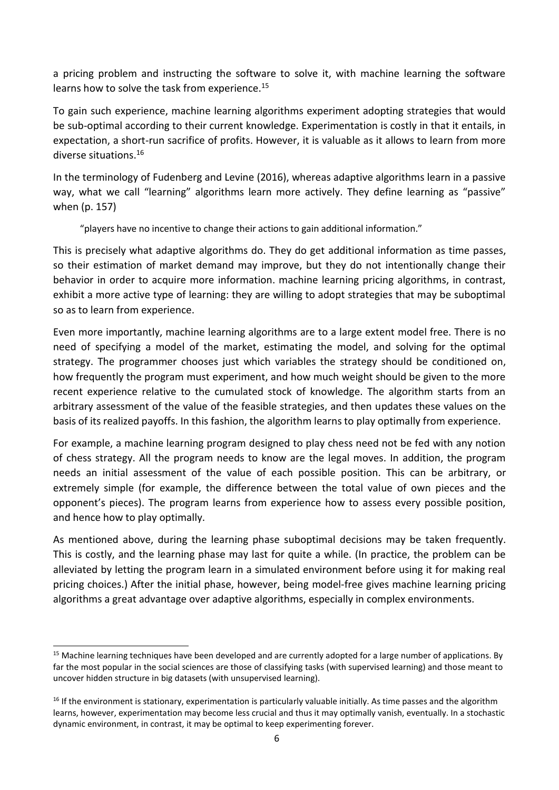a pricing problem and instructing the software to solve it, with machine learning the software learns how to solve the task from experience.<sup>15</sup>

To gain such experience, machine learning algorithms experiment adopting strategies that would be sub-optimal according to their current knowledge. Experimentation is costly in that it entails, in expectation, a short-run sacrifice of profits. However, it is valuable as it allows to learn from more diverse situations.<sup>16</sup>

In the terminology of Fudenberg and Levine (2016), whereas adaptive algorithms learn in a passive way, what we call "learning" algorithms learn more actively. They define learning as "passive" when (p. 157)

"players have no incentive to change their actions to gain additional information."

This is precisely what adaptive algorithms do. They do get additional information as time passes, so their estimation of market demand may improve, but they do not intentionally change their behavior in order to acquire more information. machine learning pricing algorithms, in contrast, exhibit a more active type of learning: they are willing to adopt strategies that may be suboptimal so as to learn from experience.

Even more importantly, machine learning algorithms are to a large extent model free. There is no need of specifying a model of the market, estimating the model, and solving for the optimal strategy. The programmer chooses just which variables the strategy should be conditioned on, how frequently the program must experiment, and how much weight should be given to the more recent experience relative to the cumulated stock of knowledge. The algorithm starts from an arbitrary assessment of the value of the feasible strategies, and then updates these values on the basis of its realized payoffs. In this fashion, the algorithm learns to play optimally from experience.

For example, a machine learning program designed to play chess need not be fed with any notion of chess strategy. All the program needs to know are the legal moves. In addition, the program needs an initial assessment of the value of each possible position. This can be arbitrary, or extremely simple (for example, the difference between the total value of own pieces and the opponent's pieces). The program learns from experience how to assess every possible position, and hence how to play optimally.

As mentioned above, during the learning phase suboptimal decisions may be taken frequently. This is costly, and the learning phase may last for quite a while. (In practice, the problem can be alleviated by letting the program learn in a simulated environment before using it for making real pricing choices.) After the initial phase, however, being model-free gives machine learning pricing algorithms a great advantage over adaptive algorithms, especially in complex environments.

<sup>&</sup>lt;sup>15</sup> Machine learning techniques have been developed and are currently adopted for a large number of applications. By far the most popular in the social sciences are those of classifying tasks (with supervised learning) and those meant to uncover hidden structure in big datasets (with unsupervised learning).

 $16$  If the environment is stationary, experimentation is particularly valuable initially. As time passes and the algorithm learns, however, experimentation may become less crucial and thus it may optimally vanish, eventually. In a stochastic dynamic environment, in contrast, it may be optimal to keep experimenting forever.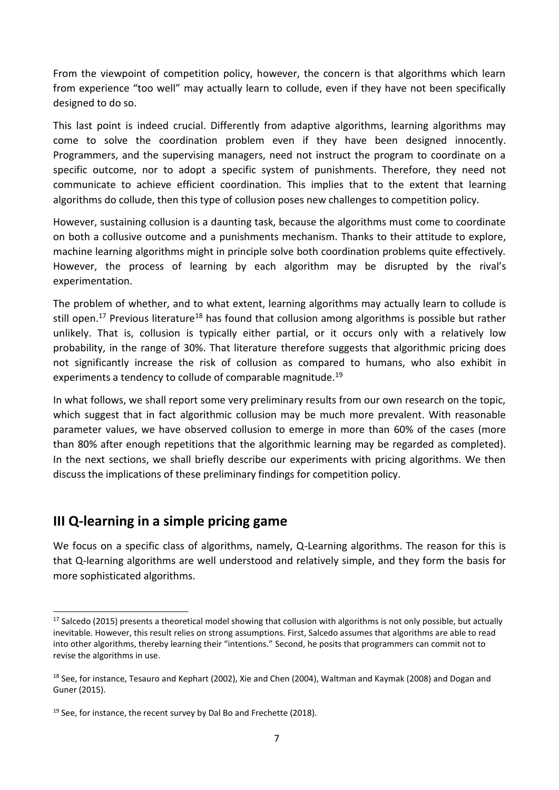From the viewpoint of competition policy, however, the concern is that algorithms which learn from experience "too well" may actually learn to collude, even if they have not been specifically designed to do so.

This last point is indeed crucial. Differently from adaptive algorithms, learning algorithms may come to solve the coordination problem even if they have been designed innocently. Programmers, and the supervising managers, need not instruct the program to coordinate on a specific outcome, nor to adopt a specific system of punishments. Therefore, they need not communicate to achieve efficient coordination. This implies that to the extent that learning algorithms do collude, then this type of collusion poses new challenges to competition policy.

However, sustaining collusion is a daunting task, because the algorithms must come to coordinate on both a collusive outcome and a punishments mechanism. Thanks to their attitude to explore, machine learning algorithms might in principle solve both coordination problems quite effectively. However, the process of learning by each algorithm may be disrupted by the rival's experimentation.

The problem of whether, and to what extent, learning algorithms may actually learn to collude is still open.<sup>17</sup> Previous literature<sup>18</sup> has found that collusion among algorithms is possible but rather unlikely. That is, collusion is typically either partial, or it occurs only with a relatively low probability, in the range of 30%. That literature therefore suggests that algorithmic pricing does not significantly increase the risk of collusion as compared to humans, who also exhibit in experiments a tendency to collude of comparable magnitude.<sup>19</sup>

In what follows, we shall report some very preliminary results from our own research on the topic, which suggest that in fact algorithmic collusion may be much more prevalent. With reasonable parameter values, we have observed collusion to emerge in more than 60% of the cases (more than 80% after enough repetitions that the algorithmic learning may be regarded as completed). In the next sections, we shall briefly describe our experiments with pricing algorithms. We then discuss the implications of these preliminary findings for competition policy.

### **III Q-learning in a simple pricing game**

We focus on a specific class of algorithms, namely, Q-Learning algorithms. The reason for this is that Q-learning algorithms are well understood and relatively simple, and they form the basis for more sophisticated algorithms.

 $17$  Salcedo (2015) presents a theoretical model showing that collusion with algorithms is not only possible, but actually inevitable. However, this result relies on strong assumptions. First, Salcedo assumes that algorithms are able to read into other algorithms, thereby learning their "intentions." Second, he posits that programmers can commit not to revise the algorithms in use.

<sup>&</sup>lt;sup>18</sup> See, for instance, Tesauro and Kephart (2002), Xie and Chen (2004), Waltman and Kaymak (2008) and Dogan and Guner (2015).

 $19$  See, for instance, the recent survey by Dal Bo and Frechette (2018).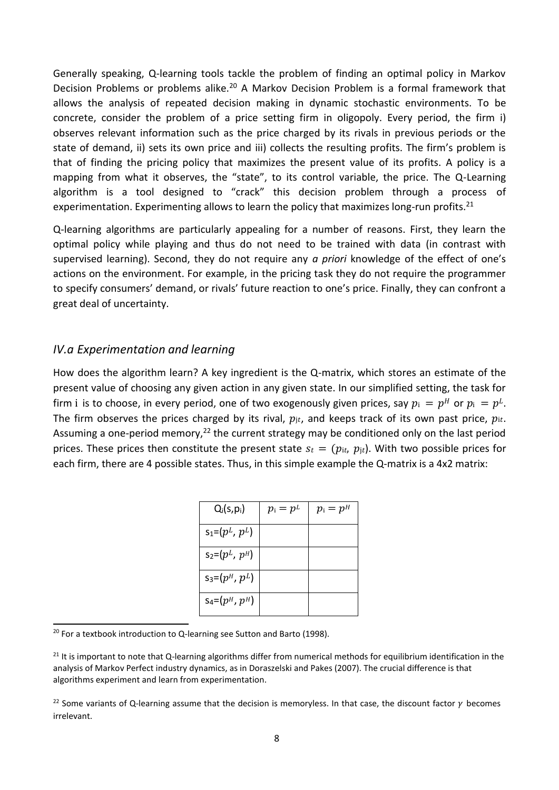Generally speaking, Q-learning tools tackle the problem of finding an optimal policy in Markov Decision Problems or problems alike.<sup>20</sup> A Markov Decision Problem is a formal framework that allows the analysis of repeated decision making in dynamic stochastic environments. To be concrete, consider the problem of a price setting firm in oligopoly. Every period, the firm i) observes relevant information such as the price charged by its rivals in previous periods or the state of demand, ii) sets its own price and iii) collects the resulting profits. The firm's problem is that of finding the pricing policy that maximizes the present value of its profits. A policy is a mapping from what it observes, the "state", to its control variable, the price. The Q-Learning algorithm is a tool designed to "crack" this decision problem through a process of experimentation. Experimenting allows to learn the policy that maximizes long-run profits. $^{21}$ 

Q-learning algorithms are particularly appealing for a number of reasons. First, they learn the optimal policy while playing and thus do not need to be trained with data (in contrast with supervised learning). Second, they do not require any *a priori* knowledge of the effect of one's actions on the environment. For example, in the pricing task they do not require the programmer to specify consumers' demand, or rivals' future reaction to one's price. Finally, they can confront a great deal of uncertainty.

#### *IV.a Experimentation and learning*

How does the algorithm learn? A key ingredient is the Q-matrix, which stores an estimate of the present value of choosing any given action in any given state. In our simplified setting, the task for firm i is to choose, in every period, one of two exogenously given prices, say  $p_i = p^H$  or  $p_i = p^L$ . The firm observes the prices charged by its rival,  $p_{it}$ , and keeps track of its own past price,  $p_{it}$ . Assuming a one-period memory, $22$  the current strategy may be conditioned only on the last period prices. These prices then constitute the present state  $s_t = (p_{it}, p_{jt})$ . With two possible prices for each firm, there are 4 possible states. Thus, in this simple example the Q-matrix is a 4x2 matrix:

| $Q_i(s, p_i)$    | $p_i = p^L$ | $p_i = p^H$ |
|------------------|-------------|-------------|
| $s_1=(p^L, p^L)$ |             |             |
| $s_2=(p^L, p^H)$ |             |             |
| $s_3=(p^H, p^L)$ |             |             |
| $S_4=(p^H, p^H)$ |             |             |

<sup>20</sup> For a textbook introduction to Q-learning see Sutton and Barto (1998).

<sup>21</sup> It is important to note that Q-learning algorithms differ from numerical methods for equilibrium identification in the analysis of Markov Perfect industry dynamics, as in Doraszelski and Pakes (2007). The crucial difference is that algorithms experiment and learn from experimentation.

<sup>22</sup> Some variants of Q-learning assume that the decision is memoryless. In that case, the discount factor  $\gamma$  becomes irrelevant.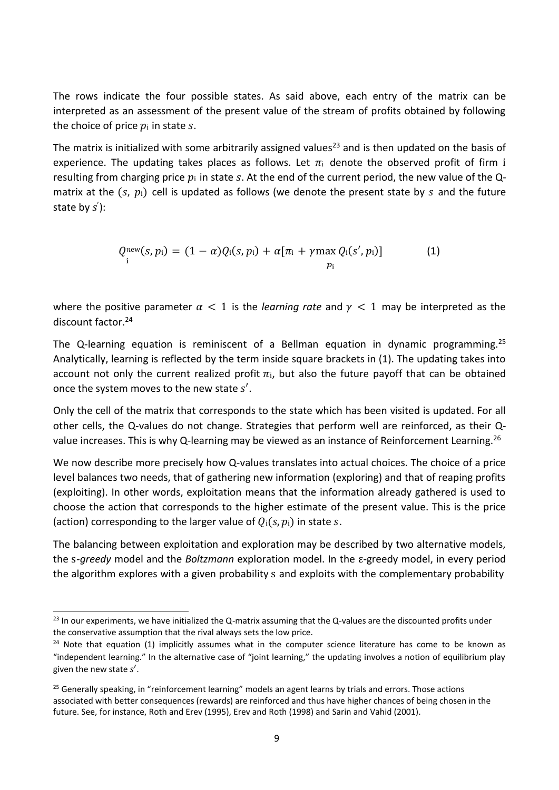The rows indicate the four possible states. As said above, each entry of the matrix can be interpreted as an assessment of the present value of the stream of profits obtained by following the choice of price  $p_i$  in state  $s$ .

The matrix is initialized with some arbitrarily assigned values<sup>23</sup> and is then updated on the basis of experience. The updating takes places as follows. Let  $\pi_i$  denote the observed profit of firm i resulting from charging price  $p_i$  in state s. At the end of the current period, the new value of the Qmatrix at the  $(s, p<sub>i</sub>)$  cell is updated as follows (we denote the present state by  $s$  and the future state by *s*'):

$$
Q_{i}^{new}(s, p_{i}) = (1 - \alpha)Q_{i}(s, p_{i}) + \alpha[\pi_{i} + \gamma \max_{p_{i}} Q_{i}(s', p_{i})]
$$
(1)

where the positive parameter  $\alpha < 1$  is the *learning rate* and  $\gamma < 1$  may be interpreted as the discount factor.<sup>24</sup>

The Q-learning equation is reminiscent of a Bellman equation in dynamic programming.<sup>25</sup> Analytically, learning is reflected by the term inside square brackets in (1). The updating takes into account not only the current realized profit  $\pi_i$ , but also the future payoff that can be obtained once the system moves to the new state  $s'$ .

Only the cell of the matrix that corresponds to the state which has been visited is updated. For all other cells, the Q-values do not change. Strategies that perform well are reinforced, as their Qvalue increases. This is why Q-learning may be viewed as an instance of Reinforcement Learning.<sup>26</sup>

We now describe more precisely how Q-values translates into actual choices. The choice of a price level balances two needs, that of gathering new information (exploring) and that of reaping profits (exploiting). In other words, exploitation means that the information already gathered is used to choose the action that corresponds to the higher estimate of the present value. This is the price (action) corresponding to the larger value of  $Q_i(s, p_i)$  in state s.

The balancing between exploitation and exploration may be described by two alternative models, the s*-greedy* model and the *Boltzmann* exploration model. In the ε-greedy model, in every period the algorithm explores with a given probability s and exploits with the complementary probability

<sup>&</sup>lt;sup>23</sup> In our experiments, we have initialized the Q-matrix assuming that the Q-values are the discounted profits under the conservative assumption that the rival always sets the low price.

 $24$  Note that equation (1) implicitly assumes what in the computer science literature has come to be known as "independent learning." In the alternative case of "joint learning," the updating involves a notion of equilibrium play given the new state  $s'$ .

<sup>&</sup>lt;sup>25</sup> Generally speaking, in "reinforcement learning" models an agent learns by trials and errors. Those actions associated with better consequences (rewards) are reinforced and thus have higher chances of being chosen in the future. See, for instance, Roth and Erev (1995), Erev and Roth (1998) and Sarin and Vahid (2001).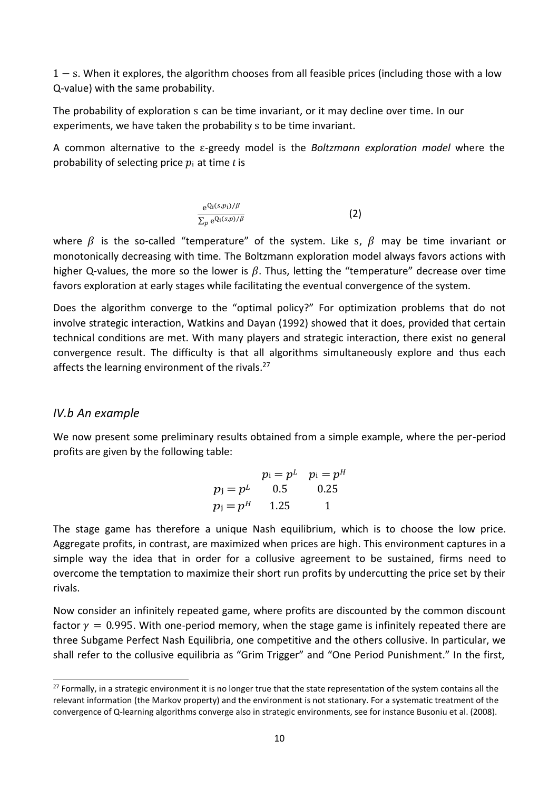1 − s. When it explores, the algorithm chooses from all feasible prices (including those with a low Q-value) with the same probability.

The probability of exploration s can be time invariant, or it may decline over time. In our experiments, we have taken the probability s to be time invariant.

A common alternative to the ε-greedy model is the *Boltzmann exploration model* where the probability of selecting price  $p_i$  at time  $t$  is

$$
\frac{e^{Q_i(s,p_i)/\beta}}{\sum_p e^{Q_i(s,p)/\beta}}
$$
 (2)

where  $\beta$  is the so-called "temperature" of the system. Like s,  $\beta$  may be time invariant or monotonically decreasing with time. The Boltzmann exploration model always favors actions with higher Q-values, the more so the lower is  $\beta$ . Thus, letting the "temperature" decrease over time favors exploration at early stages while facilitating the eventual convergence of the system.

Does the algorithm converge to the "optimal policy?" For optimization problems that do not involve strategic interaction, Watkins and Dayan (1992) showed that it does, provided that certain technical conditions are met. With many players and strategic interaction, there exist no general convergence result. The difficulty is that all algorithms simultaneously explore and thus each affects the learning environment of the rivals.<sup>27</sup>

#### *IV.b An example*

We now present some preliminary results obtained from a simple example, where the per-period profits are given by the following table:

|                           |      | $p_i = p^L$ $p_i = p^H$ |
|---------------------------|------|-------------------------|
| $p_i = p^L$               | 0.5  | 0.25                    |
| $p_{\rm j}$ = $p^{\rm H}$ | 1.25 | 1                       |

The stage game has therefore a unique Nash equilibrium, which is to choose the low price. Aggregate profits, in contrast, are maximized when prices are high. This environment captures in a simple way the idea that in order for a collusive agreement to be sustained, firms need to overcome the temptation to maximize their short run profits by undercutting the price set by their rivals.

Now consider an infinitely repeated game, where profits are discounted by the common discount factor  $\gamma = 0.995$ . With one-period memory, when the stage game is infinitely repeated there are three Subgame Perfect Nash Equilibria, one competitive and the others collusive. In particular, we shall refer to the collusive equilibria as "Grim Trigger" and "One Period Punishment." In the first,

<sup>&</sup>lt;sup>27</sup> Formally, in a strategic environment it is no longer true that the state representation of the system contains all the relevant information (the Markov property) and the environment is not stationary. For a systematic treatment of the convergence of Q-learning algorithms converge also in strategic environments, see for instance Busoniu et al. (2008).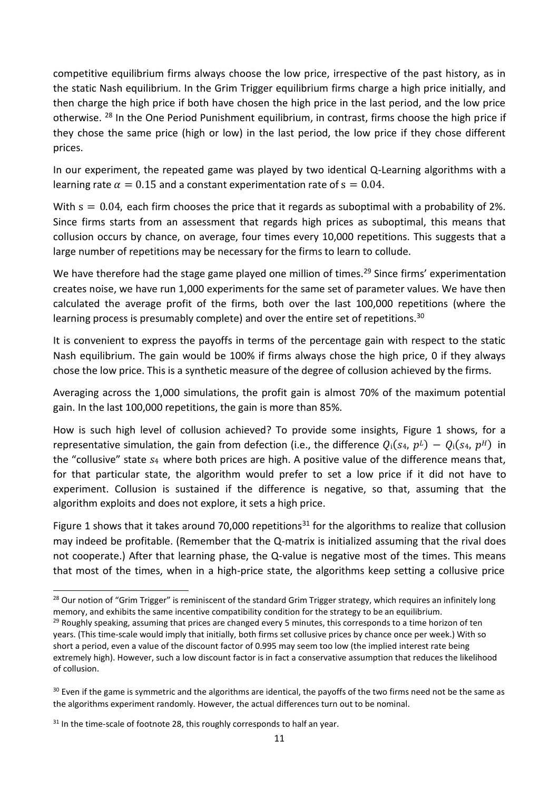competitive equilibrium firms always choose the low price, irrespective of the past history, as in the static Nash equilibrium. In the Grim Trigger equilibrium firms charge a high price initially, and then charge the high price if both have chosen the high price in the last period, and the low price otherwise. <sup>28</sup> In the One Period Punishment equilibrium, in contrast, firms choose the high price if they chose the same price (high or low) in the last period, the low price if they chose different prices.

In our experiment, the repeated game was played by two identical Q-Learning algorithms with a learning rate  $\alpha = 0.15$  and a constant experimentation rate of s = 0.04.

With  $s = 0.04$ , each firm chooses the price that it regards as suboptimal with a probability of 2%. Since firms starts from an assessment that regards high prices as suboptimal, this means that collusion occurs by chance, on average, four times every 10,000 repetitions. This suggests that a large number of repetitions may be necessary for the firms to learn to collude.

We have therefore had the stage game played one million of times.<sup>29</sup> Since firms' experimentation creates noise, we have run 1,000 experiments for the same set of parameter values. We have then calculated the average profit of the firms, both over the last 100,000 repetitions (where the learning process is presumably complete) and over the entire set of repetitions.<sup>30</sup>

It is convenient to express the payoffs in terms of the percentage gain with respect to the static Nash equilibrium. The gain would be 100% if firms always chose the high price, 0 if they always chose the low price. This is a synthetic measure of the degree of collusion achieved by the firms.

Averaging across the 1,000 simulations, the profit gain is almost 70% of the maximum potential gain. In the last 100,000 repetitions, the gain is more than 85%.

How is such high level of collusion achieved? To provide some insights, Figure 1 shows, for a representative simulation, the gain from defection (i.e., the difference  $Q_i(s_4, p^L) - Q_i(s_4, p^H)$  in the "collusive" state  $s_4$  where both prices are high. A positive value of the difference means that, for that particular state, the algorithm would prefer to set a low price if it did not have to experiment. Collusion is sustained if the difference is negative, so that, assuming that the algorithm exploits and does not explore, it sets a high price.

Figure 1 shows that it takes around 70,000 repetitions<sup>31</sup> for the algorithms to realize that collusion may indeed be profitable. (Remember that the Q-matrix is initialized assuming that the rival does not cooperate.) After that learning phase, the Q-value is negative most of the times. This means that most of the times, when in a high-price state, the algorithms keep setting a collusive price

<sup>&</sup>lt;sup>28</sup> Our notion of "Grim Trigger" is reminiscent of the standard Grim Trigger strategy, which requires an infinitely long memory, and exhibits the same incentive compatibility condition for the strategy to be an equilibrium.

 $^{29}$  Roughly speaking, assuming that prices are changed every 5 minutes, this corresponds to a time horizon of ten years. (This time-scale would imply that initially, both firms set collusive prices by chance once per week.) With so short a period, even a value of the discount factor of 0.995 may seem too low (the implied interest rate being extremely high). However, such a low discount factor is in fact a conservative assumption that reduces the likelihood of collusion.

<sup>&</sup>lt;sup>30</sup> Even if the game is symmetric and the algorithms are identical, the payoffs of the two firms need not be the same as the algorithms experiment randomly. However, the actual differences turn out to be nominal.

 $31$  In the time-scale of footnote 28, this roughly corresponds to half an year.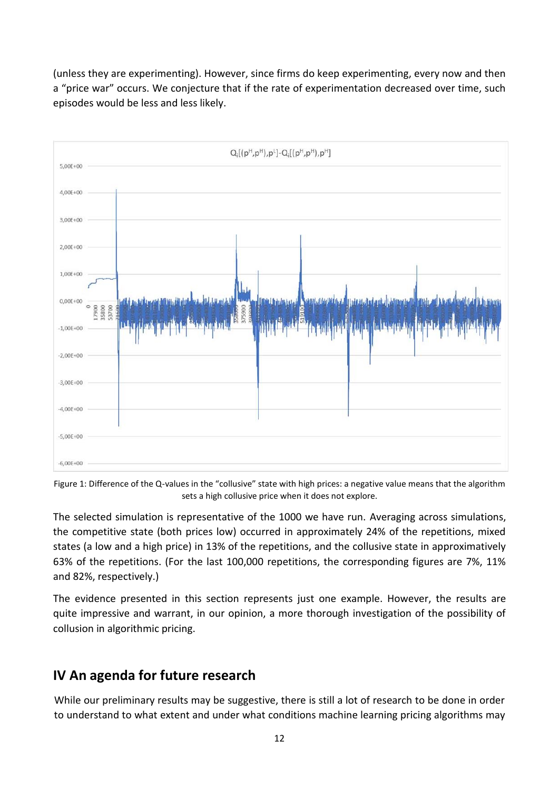(unless they are experimenting). However, since firms do keep experimenting, every now and then a "price war" occurs. We conjecture that if the rate of experimentation decreased over time, such episodes would be less and less likely.





The selected simulation is representative of the 1000 we have run. Averaging across simulations, the competitive state (both prices low) occurred in approximately 24% of the repetitions, mixed states (a low and a high price) in 13% of the repetitions, and the collusive state in approximatively 63% of the repetitions. (For the last 100,000 repetitions, the corresponding figures are 7%, 11% and 82%, respectively.)

The evidence presented in this section represents just one example. However, the results are quite impressive and warrant, in our opinion, a more thorough investigation of the possibility of collusion in algorithmic pricing.

## **IV An agenda for future research**

While our preliminary results may be suggestive, there is still a lot of research to be done in order to understand to what extent and under what conditions machine learning pricing algorithms may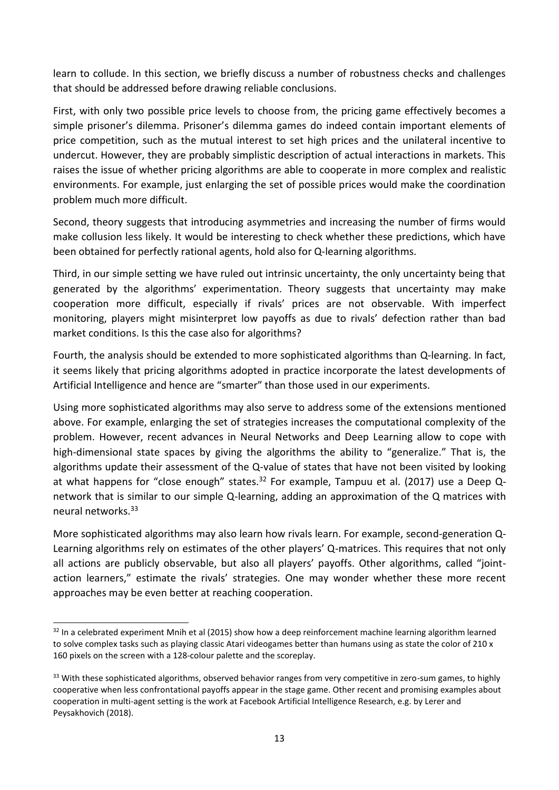learn to collude. In this section, we briefly discuss a number of robustness checks and challenges that should be addressed before drawing reliable conclusions.

First, with only two possible price levels to choose from, the pricing game effectively becomes a simple prisoner's dilemma. Prisoner's dilemma games do indeed contain important elements of price competition, such as the mutual interest to set high prices and the unilateral incentive to undercut. However, they are probably simplistic description of actual interactions in markets. This raises the issue of whether pricing algorithms are able to cooperate in more complex and realistic environments. For example, just enlarging the set of possible prices would make the coordination problem much more difficult.

Second, theory suggests that introducing asymmetries and increasing the number of firms would make collusion less likely. It would be interesting to check whether these predictions, which have been obtained for perfectly rational agents, hold also for Q-learning algorithms.

Third, in our simple setting we have ruled out intrinsic uncertainty, the only uncertainty being that generated by the algorithms' experimentation. Theory suggests that uncertainty may make cooperation more difficult, especially if rivals' prices are not observable. With imperfect monitoring, players might misinterpret low payoffs as due to rivals' defection rather than bad market conditions. Is this the case also for algorithms?

Fourth, the analysis should be extended to more sophisticated algorithms than Q-learning. In fact, it seems likely that pricing algorithms adopted in practice incorporate the latest developments of Artificial Intelligence and hence are "smarter" than those used in our experiments.

Using more sophisticated algorithms may also serve to address some of the extensions mentioned above. For example, enlarging the set of strategies increases the computational complexity of the problem. However, recent advances in Neural Networks and Deep Learning allow to cope with high-dimensional state spaces by giving the algorithms the ability to "generalize." That is, the algorithms update their assessment of the Q-value of states that have not been visited by looking at what happens for "close enough" states.<sup>32</sup> For example, Tampuu et al. (2017) use a Deep Qnetwork that is similar to our simple Q-learning, adding an approximation of the Q matrices with neural networks.<sup>33</sup>

More sophisticated algorithms may also learn how rivals learn. For example, second-generation Q-Learning algorithms rely on estimates of the other players' Q-matrices. This requires that not only all actions are publicly observable, but also all players' payoffs. Other algorithms, called "jointaction learners," estimate the rivals' strategies. One may wonder whether these more recent approaches may be even better at reaching cooperation.

<sup>&</sup>lt;sup>32</sup> In a celebrated experiment Mnih et al (2015) show how a deep reinforcement machine learning algorithm learned to solve complex tasks such as playing classic Atari videogames better than humans using as state the color of 210 x 160 pixels on the screen with a 128-colour palette and the scoreplay.

<sup>&</sup>lt;sup>33</sup> With these sophisticated algorithms, observed behavior ranges from very competitive in zero-sum games, to highly cooperative when less confrontational payoffs appear in the stage game. Other recent and promising examples about cooperation in multi-agent setting is the work at Facebook Artificial Intelligence Research, e.g. by Lerer and Peysakhovich (2018).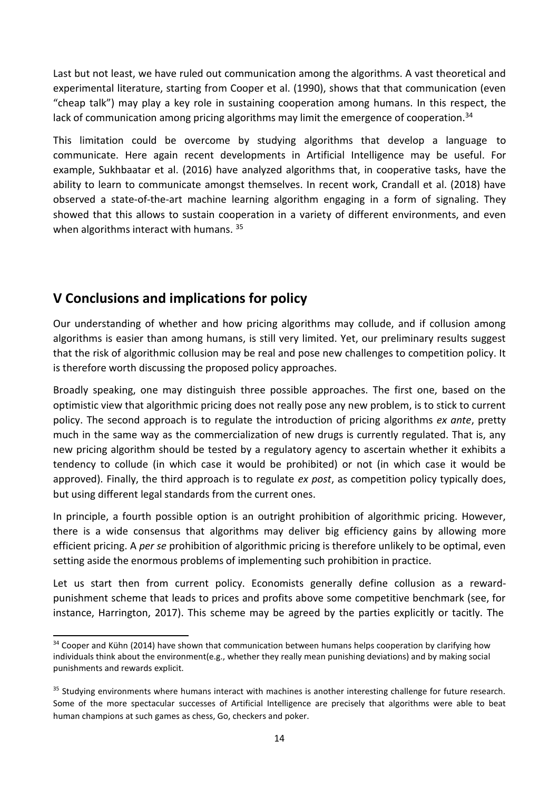Last but not least, we have ruled out communication among the algorithms. A vast theoretical and experimental literature, starting from Cooper et al. (1990), shows that that communication (even "cheap talk") may play a key role in sustaining cooperation among humans. In this respect, the lack of communication among pricing algorithms may limit the emergence of cooperation.<sup>34</sup>

This limitation could be overcome by studying algorithms that develop a language to communicate. Here again recent developments in Artificial Intelligence may be useful. For example, Sukhbaatar et al. (2016) have analyzed algorithms that, in cooperative tasks, have the ability to learn to communicate amongst themselves. In recent work, Crandall et al. (2018) have observed a state-of-the-art machine learning algorithm engaging in a form of signaling. They showed that this allows to sustain cooperation in a variety of different environments, and even when algorithms interact with humans. 35

## **V Conclusions and implications for policy**

Our understanding of whether and how pricing algorithms may collude, and if collusion among algorithms is easier than among humans, is still very limited. Yet, our preliminary results suggest that the risk of algorithmic collusion may be real and pose new challenges to competition policy. It is therefore worth discussing the proposed policy approaches.

Broadly speaking, one may distinguish three possible approaches. The first one, based on the optimistic view that algorithmic pricing does not really pose any new problem, is to stick to current policy. The second approach is to regulate the introduction of pricing algorithms *ex ante*, pretty much in the same way as the commercialization of new drugs is currently regulated. That is, any new pricing algorithm should be tested by a regulatory agency to ascertain whether it exhibits a tendency to collude (in which case it would be prohibited) or not (in which case it would be approved). Finally, the third approach is to regulate *ex post*, as competition policy typically does, but using different legal standards from the current ones.

In principle, a fourth possible option is an outright prohibition of algorithmic pricing. However, there is a wide consensus that algorithms may deliver big efficiency gains by allowing more efficient pricing. A *per se* prohibition of algorithmic pricing is therefore unlikely to be optimal, even setting aside the enormous problems of implementing such prohibition in practice.

Let us start then from current policy. Economists generally define collusion as a rewardpunishment scheme that leads to prices and profits above some competitive benchmark (see, for instance, Harrington, 2017). This scheme may be agreed by the parties explicitly or tacitly. The

<sup>&</sup>lt;sup>34</sup> Cooper and Kühn (2014) have shown that communication between humans helps cooperation by clarifying how individuals think about the environment(e.g., whether they really mean punishing deviations) and by making social punishments and rewards explicit.

<sup>&</sup>lt;sup>35</sup> Studying environments where humans interact with machines is another interesting challenge for future research. Some of the more spectacular successes of Artificial Intelligence are precisely that algorithms were able to beat human champions at such games as chess, Go, checkers and poker.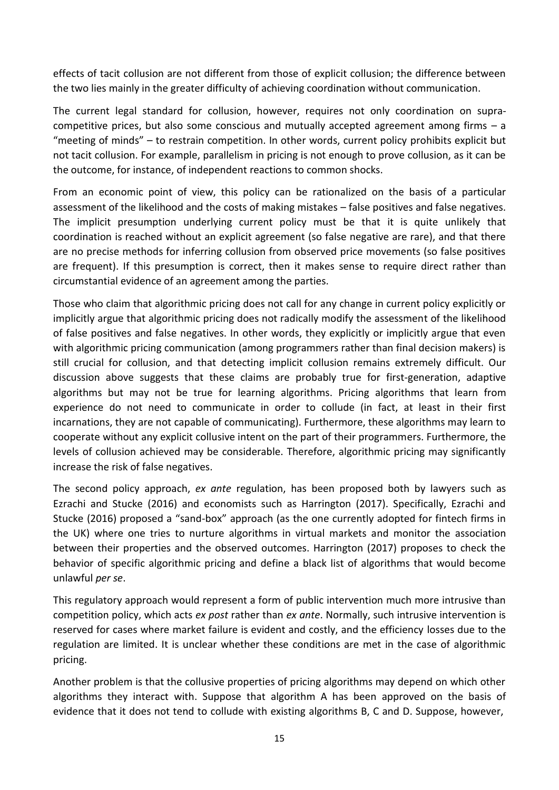effects of tacit collusion are not different from those of explicit collusion; the difference between the two lies mainly in the greater difficulty of achieving coordination without communication.

The current legal standard for collusion, however, requires not only coordination on supracompetitive prices, but also some conscious and mutually accepted agreement among firms – a "meeting of minds" – to restrain competition. In other words, current policy prohibits explicit but not tacit collusion. For example, parallelism in pricing is not enough to prove collusion, as it can be the outcome, for instance, of independent reactions to common shocks.

From an economic point of view, this policy can be rationalized on the basis of a particular assessment of the likelihood and the costs of making mistakes – false positives and false negatives. The implicit presumption underlying current policy must be that it is quite unlikely that coordination is reached without an explicit agreement (so false negative are rare), and that there are no precise methods for inferring collusion from observed price movements (so false positives are frequent). If this presumption is correct, then it makes sense to require direct rather than circumstantial evidence of an agreement among the parties.

Those who claim that algorithmic pricing does not call for any change in current policy explicitly or implicitly argue that algorithmic pricing does not radically modify the assessment of the likelihood of false positives and false negatives. In other words, they explicitly or implicitly argue that even with algorithmic pricing communication (among programmers rather than final decision makers) is still crucial for collusion, and that detecting implicit collusion remains extremely difficult. Our discussion above suggests that these claims are probably true for first-generation, adaptive algorithms but may not be true for learning algorithms. Pricing algorithms that learn from experience do not need to communicate in order to collude (in fact, at least in their first incarnations, they are not capable of communicating). Furthermore, these algorithms may learn to cooperate without any explicit collusive intent on the part of their programmers. Furthermore, the levels of collusion achieved may be considerable. Therefore, algorithmic pricing may significantly increase the risk of false negatives.

The second policy approach, *ex ante* regulation, has been proposed both by lawyers such as Ezrachi and Stucke (2016) and economists such as Harrington (2017). Specifically, Ezrachi and Stucke (2016) proposed a "sand-box" approach (as the one currently adopted for fintech firms in the UK) where one tries to nurture algorithms in virtual markets and monitor the association between their properties and the observed outcomes. Harrington (2017) proposes to check the behavior of specific algorithmic pricing and define a black list of algorithms that would become unlawful *per se*.

This regulatory approach would represent a form of public intervention much more intrusive than competition policy, which acts *ex post* rather than *ex ante*. Normally, such intrusive intervention is reserved for cases where market failure is evident and costly, and the efficiency losses due to the regulation are limited. It is unclear whether these conditions are met in the case of algorithmic pricing.

Another problem is that the collusive properties of pricing algorithms may depend on which other algorithms they interact with. Suppose that algorithm A has been approved on the basis of evidence that it does not tend to collude with existing algorithms B, C and D. Suppose, however,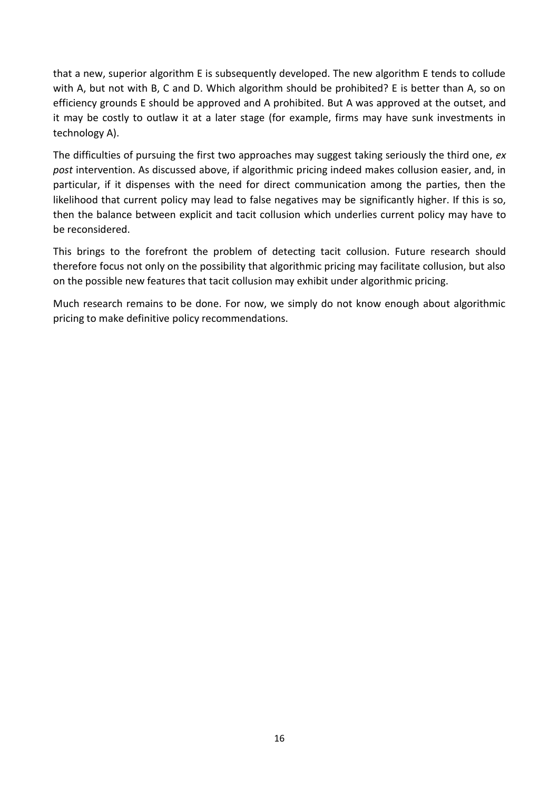that a new, superior algorithm E is subsequently developed. The new algorithm E tends to collude with A, but not with B, C and D. Which algorithm should be prohibited? E is better than A, so on efficiency grounds E should be approved and A prohibited. But A was approved at the outset, and it may be costly to outlaw it at a later stage (for example, firms may have sunk investments in technology A).

The difficulties of pursuing the first two approaches may suggest taking seriously the third one, *ex post* intervention. As discussed above, if algorithmic pricing indeed makes collusion easier, and, in particular, if it dispenses with the need for direct communication among the parties, then the likelihood that current policy may lead to false negatives may be significantly higher. If this is so, then the balance between explicit and tacit collusion which underlies current policy may have to be reconsidered.

This brings to the forefront the problem of detecting tacit collusion. Future research should therefore focus not only on the possibility that algorithmic pricing may facilitate collusion, but also on the possible new features that tacit collusion may exhibit under algorithmic pricing.

Much research remains to be done. For now, we simply do not know enough about algorithmic pricing to make definitive policy recommendations.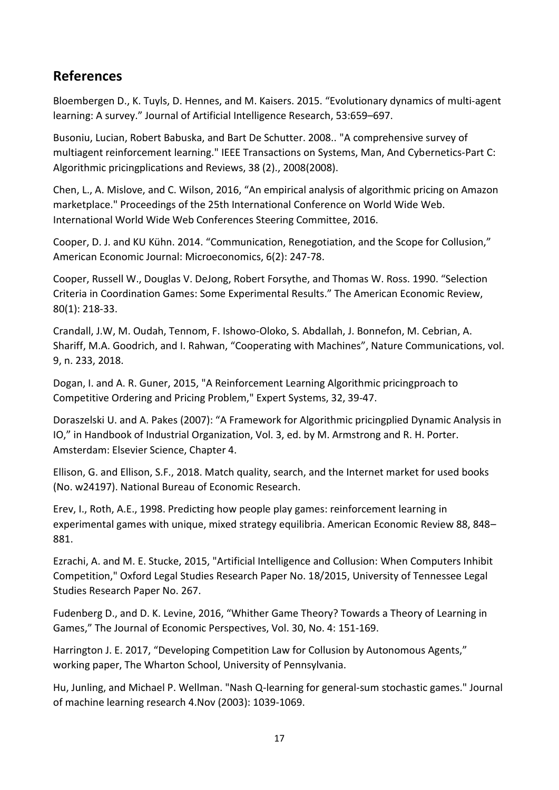## **References**

Bloembergen D., K. Tuyls, D. Hennes, and M. Kaisers. 2015. "Evolutionary dynamics of multi-agent learning: A survey." Journal of Artificial Intelligence Research, 53:659–697.

Busoniu, Lucian, Robert Babuska, and Bart De Schutter. 2008.. "A comprehensive survey of multiagent reinforcement learning." IEEE Transactions on Systems, Man, And Cybernetics-Part C: Algorithmic pricingplications and Reviews, 38 (2)., 2008(2008).

Chen, L., A. Mislove, and C. Wilson, 2016, "An empirical analysis of algorithmic pricing on Amazon marketplace." Proceedings of the 25th International Conference on World Wide Web. International World Wide Web Conferences Steering Committee, 2016.

Cooper, D. J. and KU Kühn. 2014. "Communication, Renegotiation, and the Scope for Collusion," American Economic Journal: Microeconomics, 6(2): 247-78.

Cooper, Russell W., Douglas V. DeJong, Robert Forsythe, and Thomas W. Ross. 1990. "Selection Criteria in Coordination Games: Some Experimental Results." The American Economic Review, 80(1): 218-33.

Crandall, J.W, M. Oudah, Tennom, F. Ishowo-Oloko, S. Abdallah, J. Bonnefon, M. Cebrian, A. Shariff, M.A. Goodrich, and I. Rahwan, "Cooperating with Machines", Nature Communications, vol. 9, n. 233, 2018.

Dogan, I. and A. R. Guner, 2015, "A Reinforcement Learning Algorithmic pricingproach to Competitive Ordering and Pricing Problem," Expert Systems, 32, 39-47.

Doraszelski U. and A. Pakes (2007): "A Framework for Algorithmic pricingplied Dynamic Analysis in IO," in Handbook of Industrial Organization, Vol. 3, ed. by M. Armstrong and R. H. Porter. Amsterdam: Elsevier Science, Chapter 4.

Ellison, G. and Ellison, S.F., 2018. Match quality, search, and the Internet market for used books (No. w24197). National Bureau of Economic Research.

Erev, I., Roth, A.E., 1998. Predicting how people play games: reinforcement learning in experimental games with unique, mixed strategy equilibria. American Economic Review 88, 848– 881.

Ezrachi, A. and M. E. Stucke, 2015, "Artificial Intelligence and Collusion: When Computers Inhibit Competition," Oxford Legal Studies Research Paper No. 18/2015, University of Tennessee Legal Studies Research Paper No. 267.

Fudenberg D., and D. K. Levine, 2016, "Whither Game Theory? Towards a Theory of Learning in Games," The Journal of Economic Perspectives, Vol. 30, No. 4: 151-169.

Harrington J. E. 2017, "Developing Competition Law for Collusion by Autonomous Agents," working paper, The Wharton School, University of Pennsylvania.

Hu, Junling, and Michael P. Wellman. "Nash Q-learning for general-sum stochastic games." Journal of machine learning research 4.Nov (2003): 1039-1069.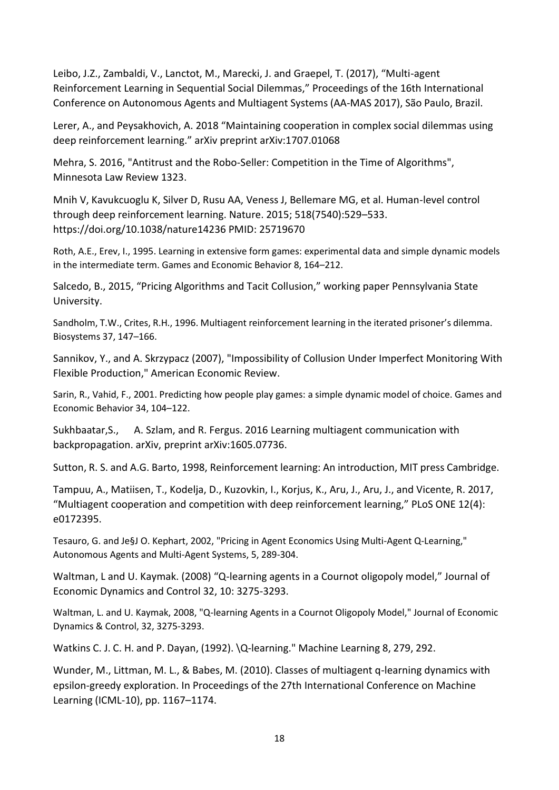Leibo, J.Z., Zambaldi, V., Lanctot, M., Marecki, J. and Graepel, T. (2017), "Multi-agent Reinforcement Learning in Sequential Social Dilemmas," Proceedings of the 16th International Conference on Autonomous Agents and Multiagent Systems (AA-MAS 2017), São Paulo, Brazil.

Lerer, A., and Peysakhovich, A. 2018 "Maintaining cooperation in complex social dilemmas using deep reinforcement learning." arXiv preprint arXiv:1707.01068

Mehra, S. 2016, "Antitrust and the Robo-Seller: Competition in the Time of Algorithms", Minnesota Law Review 1323.

Mnih V, Kavukcuoglu K, Silver D, Rusu AA, Veness J, Bellemare MG, et al. Human-level control through deep reinforcement learning. Nature. 2015; 518(7540):529–533. https://doi.org/10.1038/nature14236 PMID: 25719670

Roth, A.E., Erev, I., 1995. Learning in extensive form games: experimental data and simple dynamic models in the intermediate term. Games and Economic Behavior 8, 164–212.

Salcedo, B., 2015, "Pricing Algorithms and Tacit Collusion," working paper Pennsylvania State University.

Sandholm, T.W., Crites, R.H., 1996. Multiagent reinforcement learning in the iterated prisoner's dilemma. Biosystems 37, 147–166.

Sannikov, Y., and A. Skrzypacz (2007), "Impossibility of Collusion Under Imperfect Monitoring With Flexible Production," American Economic Review.

Sarin, R., Vahid, F., 2001. Predicting how people play games: a simple dynamic model of choice. Games and Economic Behavior 34, 104–122.

Sukhbaatar,S., A. Szlam, and R. Fergus. 2016 Learning multiagent communication with backpropagation. arXiv, preprint arXiv:1605.07736.

Sutton, R. S. and A.G. Barto, 1998, Reinforcement learning: An introduction, MIT press Cambridge.

Tampuu, A., Matiisen, T., Kodelja, D., Kuzovkin, I., Korjus, K., Aru, J., Aru, J., and Vicente, R. 2017, "Multiagent cooperation and competition with deep reinforcement learning," PLoS ONE 12(4): e0172395.

Tesauro, G. and Je§J O. Kephart, 2002, "Pricing in Agent Economics Using Multi-Agent Q-Learning," Autonomous Agents and Multi-Agent Systems, 5, 289-304.

Waltman, L and U. Kaymak. (2008) "Q-learning agents in a Cournot oligopoly model," Journal of Economic Dynamics and Control 32, 10: 3275-3293.

Waltman, L. and U. Kaymak, 2008, "Q-learning Agents in a Cournot Oligopoly Model," Journal of Economic Dynamics & Control, 32, 3275-3293.

Watkins C. J. C. H. and P. Dayan, (1992). \Q-learning." Machine Learning 8, 279, 292.

Wunder, M., Littman, M. L., & Babes, M. (2010). Classes of multiagent q-learning dynamics with epsilon-greedy exploration. In Proceedings of the 27th International Conference on Machine Learning (ICML-10), pp. 1167–1174.